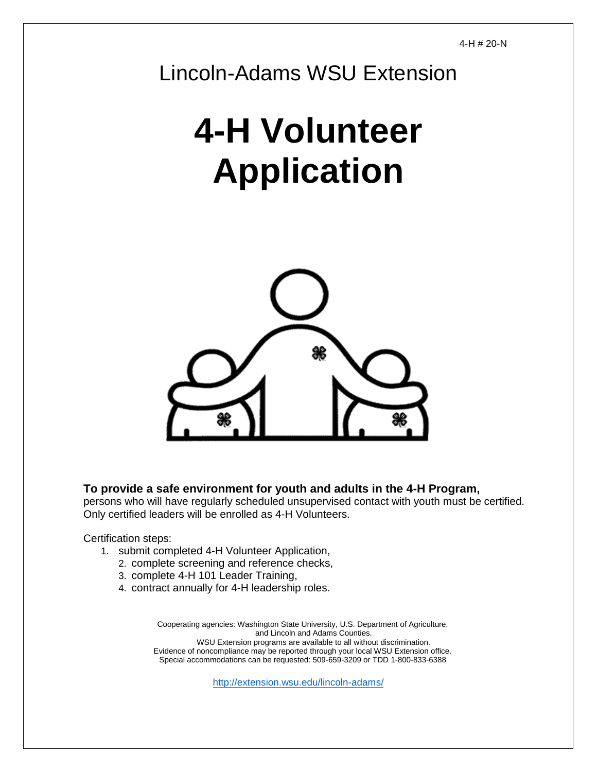Lincoln-Adams WSU Extension

# **4-H Volunteer Application**



**To provide a safe environment for youth and adults in the 4-H Program,**

persons who will have regularly scheduled unsupervised contact with youth must be certified. Only certified leaders will be enrolled as 4-H Volunteers.

Certification steps:

- 1. submit completed 4-H Volunteer Application,
	- 2. complete screening and reference checks,
	- 3. complete 4-H 101 Leader Training,
	- 4. contract annually for 4-H leadership roles.

Cooperating agencies: Washington State University, U.S. Department of Agriculture, and Lincoln and Adams Counties. WSU Extension programs are available to all without discrimination. Evidence of noncompliance may be reported through your local WSU Extension office. Special accommodations can be requested: 509-659-3209 or TDD 1-800-833-6388

<http://extension.wsu.edu/lincoln-adams/>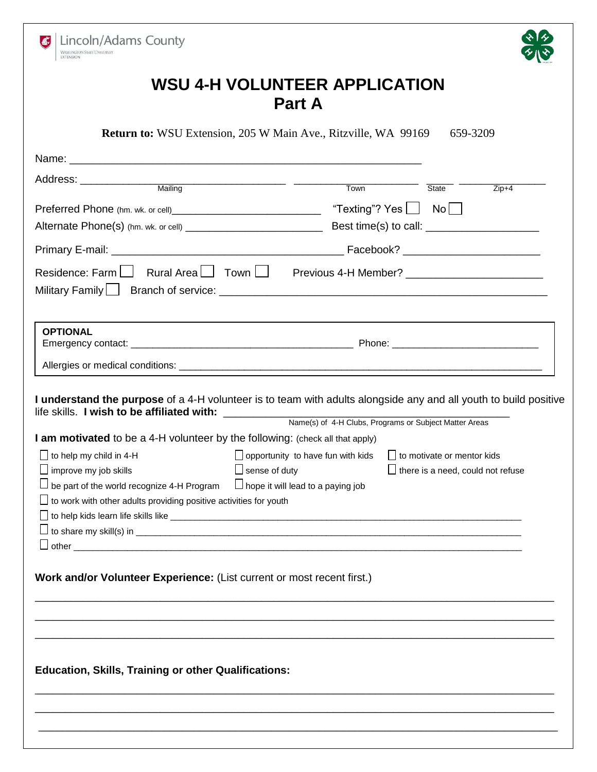|                                                                               | <b>Return to:</b> WSU Extension, 205 W Main Ave., Ritzville, WA 99169<br>659-3209                                                                                                                                             |  |  |  |  |  |
|-------------------------------------------------------------------------------|-------------------------------------------------------------------------------------------------------------------------------------------------------------------------------------------------------------------------------|--|--|--|--|--|
|                                                                               |                                                                                                                                                                                                                               |  |  |  |  |  |
|                                                                               | State State                                                                                                                                                                                                                   |  |  |  |  |  |
|                                                                               | $Zip+4$                                                                                                                                                                                                                       |  |  |  |  |  |
|                                                                               |                                                                                                                                                                                                                               |  |  |  |  |  |
|                                                                               |                                                                                                                                                                                                                               |  |  |  |  |  |
|                                                                               |                                                                                                                                                                                                                               |  |  |  |  |  |
|                                                                               | the control of the control of the control of the control of the control of the control of the control of the control of the control of the control of the control of the control of the control of the control of the control |  |  |  |  |  |
| <b>OPTIONAL</b>                                                               |                                                                                                                                                                                                                               |  |  |  |  |  |
|                                                                               |                                                                                                                                                                                                                               |  |  |  |  |  |
|                                                                               | I understand the purpose of a 4-H volunteer is to team with adults alongside any and all youth to build positive                                                                                                              |  |  |  |  |  |
| life skills. I wish to be affiliated with: _____________                      | Name(s) of 4-H Clubs, Programs or Subject Matter Areas                                                                                                                                                                        |  |  |  |  |  |
| I am motivated to be a 4-H volunteer by the following: (check all that apply) |                                                                                                                                                                                                                               |  |  |  |  |  |
| $\Box$ to help my child in 4-H                                                | $\Box$ to motivate or mentor kids<br>$\Box$ opportunity to have fun with kids                                                                                                                                                 |  |  |  |  |  |
|                                                                               | $\square$ improve my job skills $\square$ sense of duty $\square$ there is a need, could not refuse                                                                                                                           |  |  |  |  |  |
| $\Box$ be part of the world recognize 4-H Program                             | $\Box$ hope it will lead to a paying job                                                                                                                                                                                      |  |  |  |  |  |
| □ to work with other adults providing positive activities for youth           |                                                                                                                                                                                                                               |  |  |  |  |  |
|                                                                               |                                                                                                                                                                                                                               |  |  |  |  |  |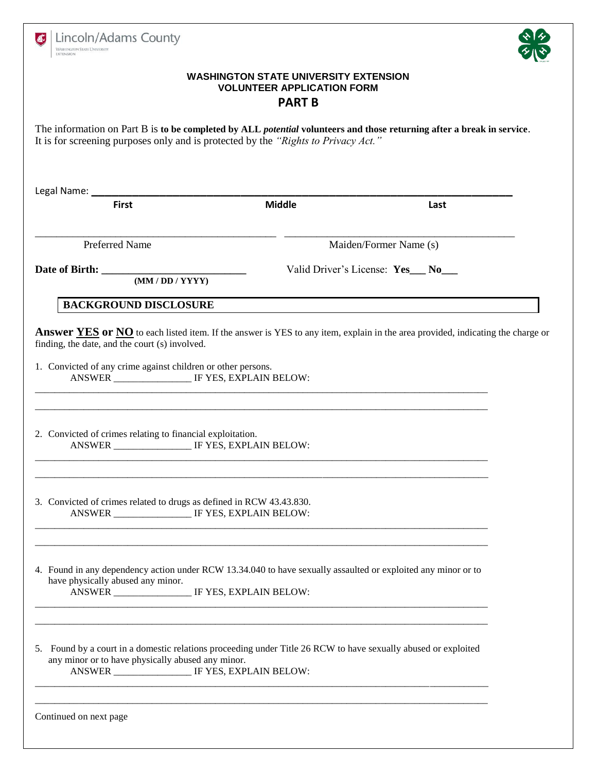| Lincoln/Adams County<br><b>WASHINGTON STATE UNIVERSITY</b><br><b>EXTENSION</b>                                                                                                                                          |               |                                                          |  |  |  |  |  |
|-------------------------------------------------------------------------------------------------------------------------------------------------------------------------------------------------------------------------|---------------|----------------------------------------------------------|--|--|--|--|--|
| <b>WASHINGTON STATE UNIVERSITY EXTENSION</b><br><b>VOLUNTEER APPLICATION FORM</b><br><b>PART B</b>                                                                                                                      |               |                                                          |  |  |  |  |  |
| The information on Part B is to be completed by ALL <i>potential</i> volunteers and those returning after a break in service.<br>It is for screening purposes only and is protected by the "Rights to Privacy Act."     |               |                                                          |  |  |  |  |  |
| Legal Name: _________<br><b>First</b>                                                                                                                                                                                   | <b>Middle</b> | Last                                                     |  |  |  |  |  |
|                                                                                                                                                                                                                         |               |                                                          |  |  |  |  |  |
| <b>Preferred Name</b><br>Date of Birth: <u>(MM/DD/YYYY)</u>                                                                                                                                                             |               | Maiden/Former Name (s)<br>Valid Driver's License: Yes No |  |  |  |  |  |
| <b>BACKGROUND DISCLOSURE</b>                                                                                                                                                                                            |               |                                                          |  |  |  |  |  |
| 2. Convicted of crimes relating to financial exploitation.                                                                                                                                                              |               |                                                          |  |  |  |  |  |
| 3. Convicted of crimes related to drugs as defined in RCW 43.43.830.<br>ANSWER _________________ IF YES, EXPLAIN BELOW:                                                                                                 |               |                                                          |  |  |  |  |  |
| 4. Found in any dependency action under RCW 13.34.040 to have sexually assaulted or exploited any minor or to<br>have physically abused any minor.<br>ANSWER __________________ IF YES, EXPLAIN BELOW:                  |               |                                                          |  |  |  |  |  |
| 5. Found by a court in a domestic relations proceeding under Title 26 RCW to have sexually abused or exploited<br>any minor or to have physically abused any minor.<br>ANSWER __________________ IF YES, EXPLAIN BELOW: |               |                                                          |  |  |  |  |  |
| Continued on next page                                                                                                                                                                                                  |               |                                                          |  |  |  |  |  |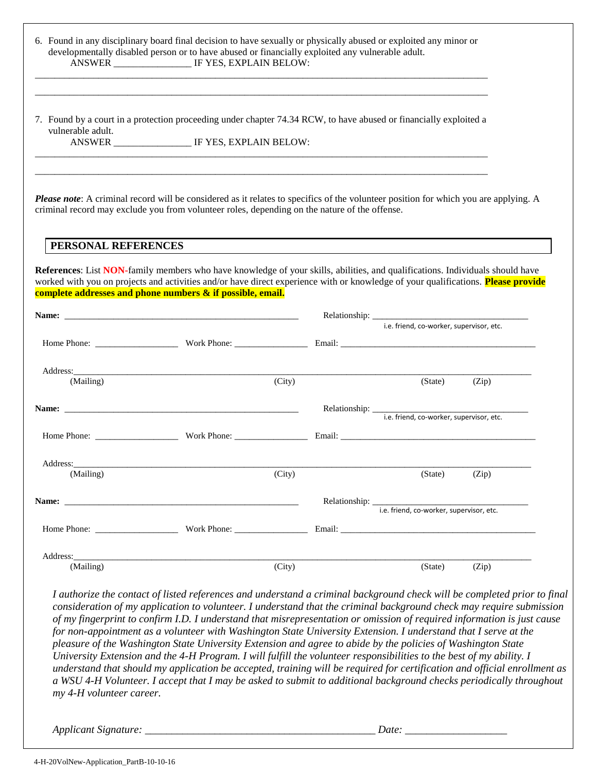| vulnerable adult.                                                                                                                 | 7. Found by a court in a protection proceeding under chapter 74.34 RCW, to have abused or financially exploited a<br>ANSWER _____________________ IF YES, EXPLAIN BELOW:                                                              |        |                  |                                          |       |
|-----------------------------------------------------------------------------------------------------------------------------------|---------------------------------------------------------------------------------------------------------------------------------------------------------------------------------------------------------------------------------------|--------|------------------|------------------------------------------|-------|
|                                                                                                                                   |                                                                                                                                                                                                                                       |        |                  |                                          |       |
|                                                                                                                                   | Please note: A criminal record will be considered as it relates to specifics of the volunteer position for which you are applying. A<br>criminal record may exclude you from volunteer roles, depending on the nature of the offense. |        |                  |                                          |       |
| PERSONAL REFERENCES                                                                                                               |                                                                                                                                                                                                                                       |        |                  |                                          |       |
|                                                                                                                                   | References: List NON-family members who have knowledge of your skills, abilities, and qualifications. Individuals should have                                                                                                         |        |                  |                                          |       |
|                                                                                                                                   | complete addresses and phone numbers & if possible, email.                                                                                                                                                                            |        |                  |                                          |       |
| worked with you on projects and activities and/or have direct experience with or knowledge of your qualifications. Please provide |                                                                                                                                                                                                                                       |        |                  | i.e. friend, co-worker, supervisor, etc. |       |
|                                                                                                                                   | Home Phone: Work Phone: Email: Email: Email: Email: Email: Email: Email: Email: Email: Email: Email: Email: Email: Email: Email: Email: Email: Email: Email: Email: Email: Email: Email: Email: Email: Email: Email: Email: Em        |        |                  |                                          |       |
|                                                                                                                                   |                                                                                                                                                                                                                                       |        |                  |                                          |       |
| (Mailing)                                                                                                                         |                                                                                                                                                                                                                                       | (City) |                  | (State)                                  | (Zip) |
|                                                                                                                                   |                                                                                                                                                                                                                                       |        |                  |                                          |       |
|                                                                                                                                   |                                                                                                                                                                                                                                       |        |                  |                                          |       |
| Address:                                                                                                                          |                                                                                                                                                                                                                                       |        |                  |                                          |       |
| (Mailing)                                                                                                                         |                                                                                                                                                                                                                                       | (City) |                  | (State)                                  | (Zip) |
| Name:                                                                                                                             |                                                                                                                                                                                                                                       |        | Relationship: __ | i.e. friend, co-worker, supervisor, etc. |       |
|                                                                                                                                   |                                                                                                                                                                                                                                       |        |                  |                                          |       |
| Address:                                                                                                                          |                                                                                                                                                                                                                                       |        |                  |                                          |       |

*pleasure of the Washington State University Extension and agree to abide by the policies of Washington State University Extension and the 4-H Program. I will fulfill the volunteer responsibilities to the best of my ability. I understand that should my application be accepted, training will be required for certification and official enrollment as a WSU 4-H Volunteer. I accept that I may be asked to submit to additional background checks periodically throughout my 4-H volunteer career.*

*Applicant Signature: \_\_\_\_\_\_\_\_\_\_\_\_\_\_\_\_\_\_\_\_\_\_\_\_\_\_\_\_\_\_\_\_\_\_\_\_\_\_\_\_\_\_\_ Date: \_\_\_\_\_\_\_\_\_\_\_\_\_\_\_\_\_\_\_*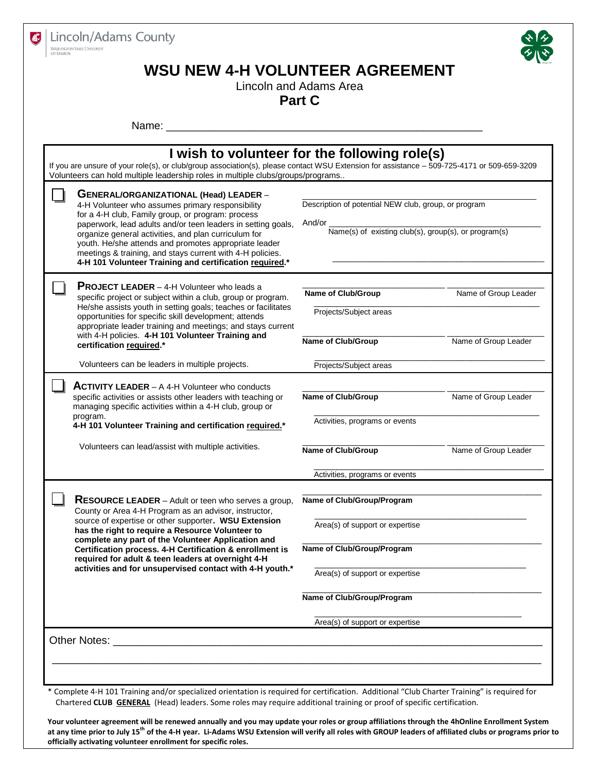



## **WSU NEW 4-H VOLUNTEER AGREEMENT**

Lincoln and Adams Area

**Part C**

Name: \_\_\_\_\_\_\_\_\_\_\_\_\_\_\_\_\_\_\_\_\_\_\_\_\_\_\_\_\_\_\_\_\_\_\_\_\_\_\_\_\_\_\_\_\_\_\_\_\_\_\_\_\_

|  | GENERAL/ORGANIZATIONAL (Head) LEADER -<br>4-H Volunteer who assumes primary responsibility<br>for a 4-H club, Family group, or program: process<br>paperwork, lead adults and/or teen leaders in setting goals,<br>organize general activities, and plan curriculum for<br>youth. He/she attends and promotes appropriate leader<br>meetings & training, and stays current with 4-H policies.<br>4-H 101 Volunteer Training and certification required.* | Description of potential NEW club, group, or program<br>And/or<br>Name(s) of existing club(s), group(s), or program(s) |                      |  |
|--|----------------------------------------------------------------------------------------------------------------------------------------------------------------------------------------------------------------------------------------------------------------------------------------------------------------------------------------------------------------------------------------------------------------------------------------------------------|------------------------------------------------------------------------------------------------------------------------|----------------------|--|
|  | <b>PROJECT LEADER</b> - 4-H Volunteer who leads a<br>specific project or subject within a club, group or program.<br>He/she assists youth in setting goals; teaches or facilitates<br>opportunities for specific skill development; attends<br>appropriate leader training and meetings; and stays current<br>with 4-H policies. 4-H 101 Volunteer Training and                                                                                          | Name of Club/Group<br>Projects/Subject areas                                                                           | Name of Group Leader |  |
|  | certification required.*                                                                                                                                                                                                                                                                                                                                                                                                                                 | Name of Club/Group                                                                                                     | Name of Group Leader |  |
|  | Volunteers can be leaders in multiple projects.                                                                                                                                                                                                                                                                                                                                                                                                          | Projects/Subject areas                                                                                                 |                      |  |
|  | <b>ACTIVITY LEADER</b> $-$ A 4-H Volunteer who conducts<br>specific activities or assists other leaders with teaching or<br>managing specific activities within a 4-H club, group or<br>program.<br>4-H 101 Volunteer Training and certification required.*                                                                                                                                                                                              | Name of Club/Group<br>Activities, programs or events                                                                   | Name of Group Leader |  |
|  | Volunteers can lead/assist with multiple activities.                                                                                                                                                                                                                                                                                                                                                                                                     | Name of Club/Group                                                                                                     | Name of Group Leader |  |
|  |                                                                                                                                                                                                                                                                                                                                                                                                                                                          | Activities, programs or events                                                                                         |                      |  |
|  | <b>RESOURCE LEADER</b> – Adult or teen who serves a group,<br>County or Area 4-H Program as an advisor, instructor,<br>source of expertise or other supporter. WSU Extension                                                                                                                                                                                                                                                                             | Name of Club/Group/Program                                                                                             |                      |  |
|  | has the right to require a Resource Volunteer to<br>complete any part of the Volunteer Application and<br>Certification process. 4-H Certification & enrollment is<br>required for adult & teen leaders at overnight 4-H<br>activities and for unsupervised contact with 4-H youth.*                                                                                                                                                                     | Area(s) of support or expertise<br>Name of Club/Group/Program                                                          |                      |  |
|  |                                                                                                                                                                                                                                                                                                                                                                                                                                                          | Area(s) of support or expertise                                                                                        |                      |  |
|  |                                                                                                                                                                                                                                                                                                                                                                                                                                                          | Name of Club/Group/Program                                                                                             |                      |  |
|  |                                                                                                                                                                                                                                                                                                                                                                                                                                                          | Area(s) of support or expertise                                                                                        |                      |  |
|  | <b>Other Notes:</b>                                                                                                                                                                                                                                                                                                                                                                                                                                      |                                                                                                                        |                      |  |

\* Complete 4-H 101 Training and/or specialized orientation is required for certification. Additional "Club Charter Training" is required for Chartered **CLUB GENERAL** (Head) leaders. Some roles may require additional training or proof of specific certification.

**Your volunteer agreement will be renewed annually and you may update your roles or group affiliations through the 4hOnline Enrollment System at any time prior to July 15th of the 4-H year. Li-Adams WSU Extension will verify all roles with GROUP leaders of affiliated clubs or programs prior to officially activating volunteer enrollment for specific roles.**